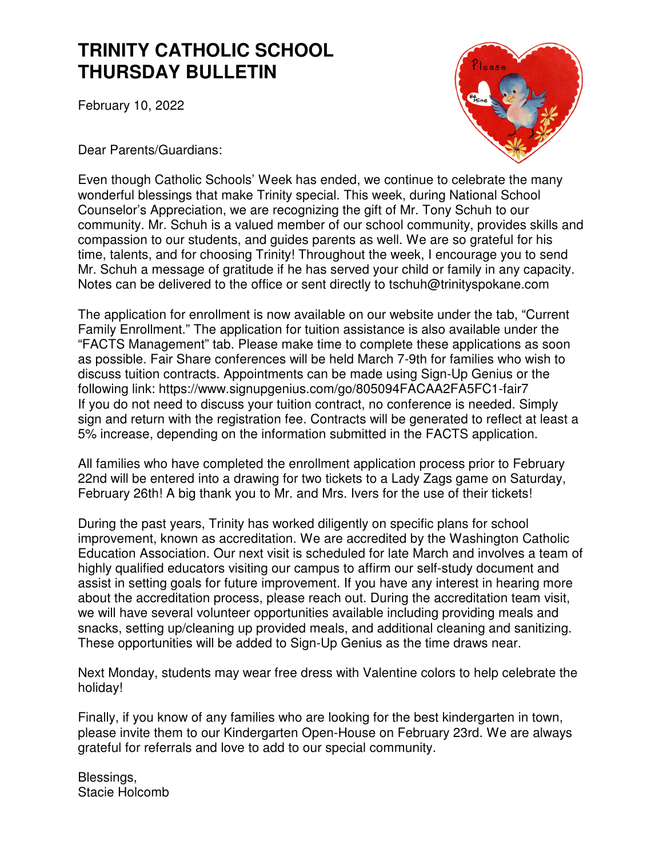# **TRINITY CATHOLIC SCHOOL THURSDAY BULLETIN**

February 10, 2022



Dear Parents/Guardians:

Even though Catholic Schools' Week has ended, we continue to celebrate the many wonderful blessings that make Trinity special. This week, during National School Counselor's Appreciation, we are recognizing the gift of Mr. Tony Schuh to our community. Mr. Schuh is a valued member of our school community, provides skills and compassion to our students, and guides parents as well. We are so grateful for his time, talents, and for choosing Trinity! Throughout the week, I encourage you to send Mr. Schuh a message of gratitude if he has served your child or family in any capacity. Notes can be delivered to the office or sent directly to tschuh@trinityspokane.com

The application for enrollment is now available on our website under the tab, "Current Family Enrollment." The application for tuition assistance is also available under the "FACTS Management" tab. Please make time to complete these applications as soon as possible. Fair Share conferences will be held March 7-9th for families who wish to discuss tuition contracts. Appointments can be made using Sign-Up Genius or the following link: https://www.signupgenius.com/go/805094FACAA2FA5FC1-fair7 If you do not need to discuss your tuition contract, no conference is needed. Simply sign and return with the registration fee. Contracts will be generated to reflect at least a 5% increase, depending on the information submitted in the FACTS application.

All families who have completed the enrollment application process prior to February 22nd will be entered into a drawing for two tickets to a Lady Zags game on Saturday, February 26th! A big thank you to Mr. and Mrs. Ivers for the use of their tickets!

During the past years, Trinity has worked diligently on specific plans for school improvement, known as accreditation. We are accredited by the Washington Catholic Education Association. Our next visit is scheduled for late March and involves a team of highly qualified educators visiting our campus to affirm our self-study document and assist in setting goals for future improvement. If you have any interest in hearing more about the accreditation process, please reach out. During the accreditation team visit, we will have several volunteer opportunities available including providing meals and snacks, setting up/cleaning up provided meals, and additional cleaning and sanitizing. These opportunities will be added to Sign-Up Genius as the time draws near.

Next Monday, students may wear free dress with Valentine colors to help celebrate the holiday!

Finally, if you know of any families who are looking for the best kindergarten in town, please invite them to our Kindergarten Open-House on February 23rd. We are always grateful for referrals and love to add to our special community.

Blessings, Stacie Holcomb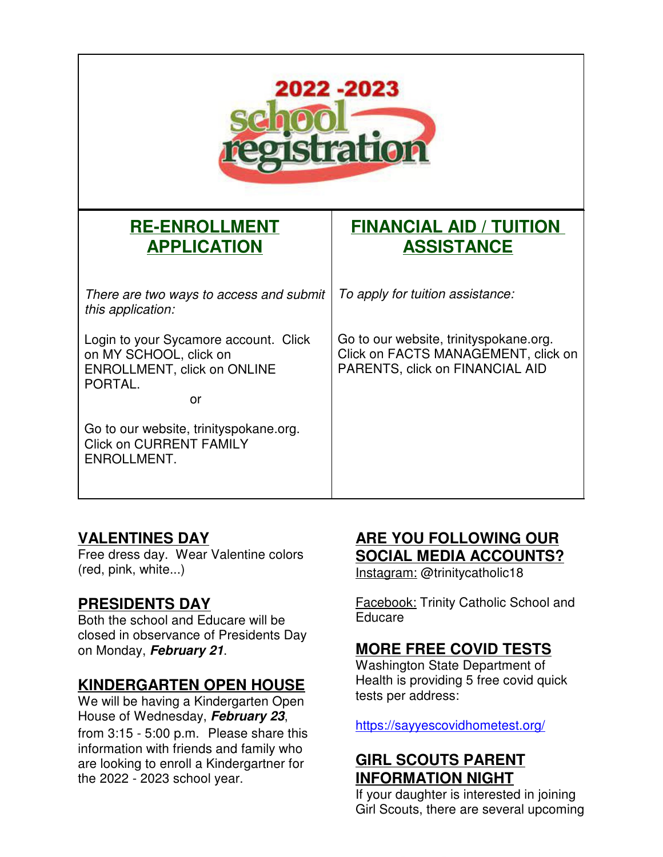

# **RE-ENROLLMENT APPLICATION**

There are two ways to access and submit this application:

Login to your Sycamore account. Click on MY SCHOOL, click on ENROLLMENT, click on ONLINE PORTAL.

**or** and the contract of the contract of the contract of the contract of the contract of the contract of the contract of the contract of the contract of the contract of the contract of the contract of the contract of the c

Go to our website, trinityspokane.org. Click on CURRENT FAMILY ENROLLMENT.

## **FINANCIAL AID / TUITION ASSISTANCE**

To apply for tuition assistance:

Go to our website, trinityspokane.org. Click on FACTS MANAGEMENT, click on PARENTS, click on FINANCIAL AID

#### **VALENTINES DAY**

Free dress day. Wear Valentine colors (red, pink, white...)

#### **PRESIDENTS DAY**

Both the school and Educare will be closed in observance of Presidents Day on Monday, **February 21**.

#### **KINDERGARTEN OPEN HOUSE**

We will be having a Kindergarten Open House of Wednesday, **February 23**, from 3:15 - 5:00 p.m. Please share this information with friends and family who are looking to enroll a Kindergartner for the 2022 - 2023 school year.

#### **ARE YOU FOLLOWING OUR SOCIAL MEDIA ACCOUNTS?**

Instagram: @trinitycatholic18

**Facebook: Trinity Catholic School and** Educare

### **MORE FREE COVID TESTS**

Washington State Department of Health is providing 5 free covid quick tests per address:

https://sayyescovidhometest.org/

### **GIRL SCOUTS PARENT INFORMATION NIGHT**

If your daughter is interested in joining Girl Scouts, there are several upcoming